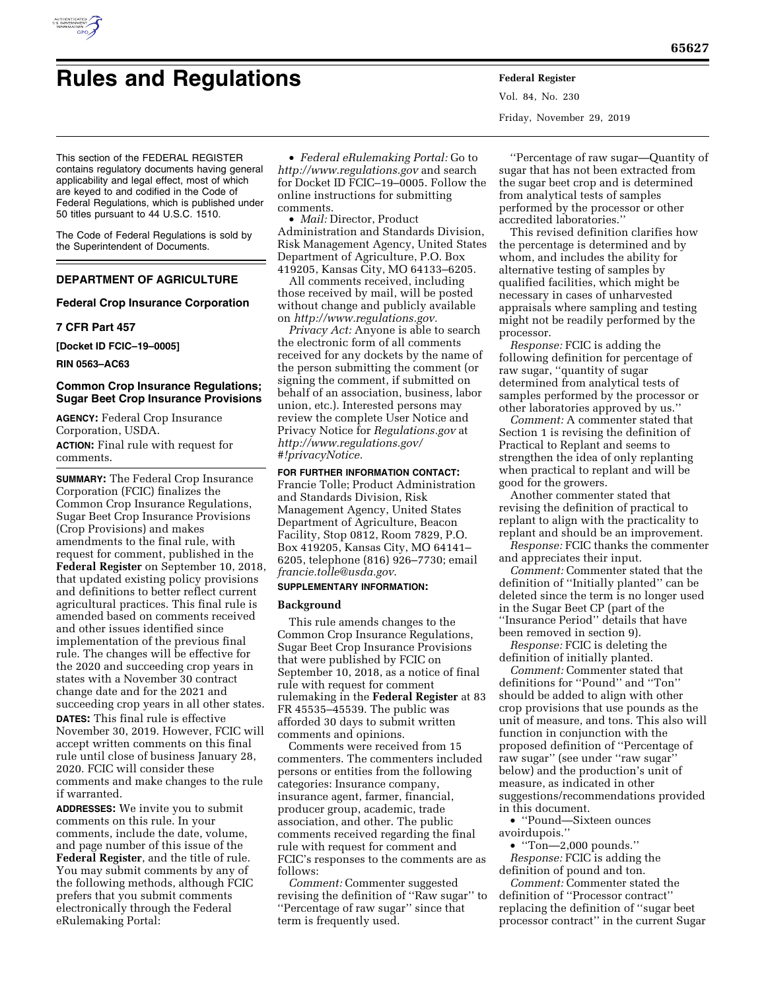

Vol. 84, No. 230 Friday, November 29, 2019

This section of the FEDERAL REGISTER contains regulatory documents having general applicability and legal effect, most of which are keyed to and codified in the Code of Federal Regulations, which is published under 50 titles pursuant to 44 U.S.C. 1510.

The Code of Federal Regulations is sold by the Superintendent of Documents.

# **DEPARTMENT OF AGRICULTURE**

## **Federal Crop Insurance Corporation**

#### **7 CFR Part 457**

**[Docket ID FCIC–19–0005]** 

**RIN 0563–AC63** 

## **Common Crop Insurance Regulations; Sugar Beet Crop Insurance Provisions**

**AGENCY:** Federal Crop Insurance Corporation, USDA. **ACTION:** Final rule with request for comments.

**SUMMARY:** The Federal Crop Insurance Corporation (FCIC) finalizes the Common Crop Insurance Regulations, Sugar Beet Crop Insurance Provisions (Crop Provisions) and makes amendments to the final rule, with request for comment, published in the **Federal Register** on September 10, 2018, that updated existing policy provisions and definitions to better reflect current agricultural practices. This final rule is amended based on comments received and other issues identified since implementation of the previous final rule. The changes will be effective for the 2020 and succeeding crop years in states with a November 30 contract change date and for the 2021 and succeeding crop years in all other states.

**DATES:** This final rule is effective November 30, 2019. However, FCIC will accept written comments on this final rule until close of business January 28, 2020. FCIC will consider these comments and make changes to the rule if warranted.

**ADDRESSES:** We invite you to submit comments on this rule. In your comments, include the date, volume, and page number of this issue of the **Federal Register**, and the title of rule. You may submit comments by any of the following methods, although FCIC prefers that you submit comments electronically through the Federal eRulemaking Portal:

• *Federal eRulemaking Portal:* Go to *<http://www.regulations.gov>* and search for Docket ID FCIC–19–0005. Follow the online instructions for submitting comments.

• *Mail:* Director, Product Administration and Standards Division, Risk Management Agency, United States Department of Agriculture, P.O. Box 419205, Kansas City, MO 64133–6205.

All comments received, including those received by mail, will be posted without change and publicly available on *[http://www.regulations.gov.](http://www.regulations.gov)* 

*Privacy Act:* Anyone is able to search the electronic form of all comments received for any dockets by the name of the person submitting the comment (or signing the comment, if submitted on behalf of an association, business, labor union, etc.). Interested persons may review the complete User Notice and Privacy Notice for *Regulations.gov* at *[http://www.regulations.gov/](http://www.regulations.gov/#!privacyNotice)  [#!privacyNotice.](http://www.regulations.gov/#!privacyNotice)* 

**FOR FURTHER INFORMATION CONTACT:**  Francie Tolle; Product Administration

and Standards Division, Risk Management Agency, United States Department of Agriculture, Beacon Facility, Stop 0812, Room 7829, P.O. Box 419205, Kansas City, MO 64141– 6205, telephone (816) 926–7730; email *[francie.tolle@usda.gov](mailto:francie.tolle@usda.gov)*.

## **SUPPLEMENTARY INFORMATION:**

#### **Background**

This rule amends changes to the Common Crop Insurance Regulations, Sugar Beet Crop Insurance Provisions that were published by FCIC on September 10, 2018, as a notice of final rule with request for comment rulemaking in the **Federal Register** at 83 FR 45535–45539. The public was afforded 30 days to submit written comments and opinions.

Comments were received from 15 commenters. The commenters included persons or entities from the following categories: Insurance company, insurance agent, farmer, financial, producer group, academic, trade association, and other. The public comments received regarding the final rule with request for comment and FCIC's responses to the comments are as follows:

*Comment:* Commenter suggested revising the definition of ''Raw sugar'' to ''Percentage of raw sugar'' since that term is frequently used.

''Percentage of raw sugar—Quantity of sugar that has not been extracted from the sugar beet crop and is determined from analytical tests of samples performed by the processor or other accredited laboratories.''

This revised definition clarifies how the percentage is determined and by whom, and includes the ability for alternative testing of samples by qualified facilities, which might be necessary in cases of unharvested appraisals where sampling and testing might not be readily performed by the processor.

*Response:* FCIC is adding the following definition for percentage of raw sugar, ''quantity of sugar determined from analytical tests of samples performed by the processor or other laboratories approved by us.''

*Comment:* A commenter stated that Section 1 is revising the definition of Practical to Replant and seems to strengthen the idea of only replanting when practical to replant and will be good for the growers.

Another commenter stated that revising the definition of practical to replant to align with the practicality to replant and should be an improvement.

*Response:* FCIC thanks the commenter and appreciates their input.

*Comment:* Commenter stated that the definition of ''Initially planted'' can be deleted since the term is no longer used in the Sugar Beet CP (part of the ''Insurance Period'' details that have been removed in section 9).

*Response:* FCIC is deleting the definition of initially planted.

*Comment:* Commenter stated that definitions for ''Pound'' and ''Ton'' should be added to align with other crop provisions that use pounds as the unit of measure, and tons. This also will function in conjunction with the proposed definition of ''Percentage of raw sugar'' (see under ''raw sugar'' below) and the production's unit of measure, as indicated in other suggestions/recommendations provided in this document.

• ''Pound—Sixteen ounces avoirdupois.''

• ''Ton—2,000 pounds.'' *Response:* FCIC is adding the definition of pound and ton.

*Comment:* Commenter stated the definition of ''Processor contract'' replacing the definition of ''sugar beet processor contract'' in the current Sugar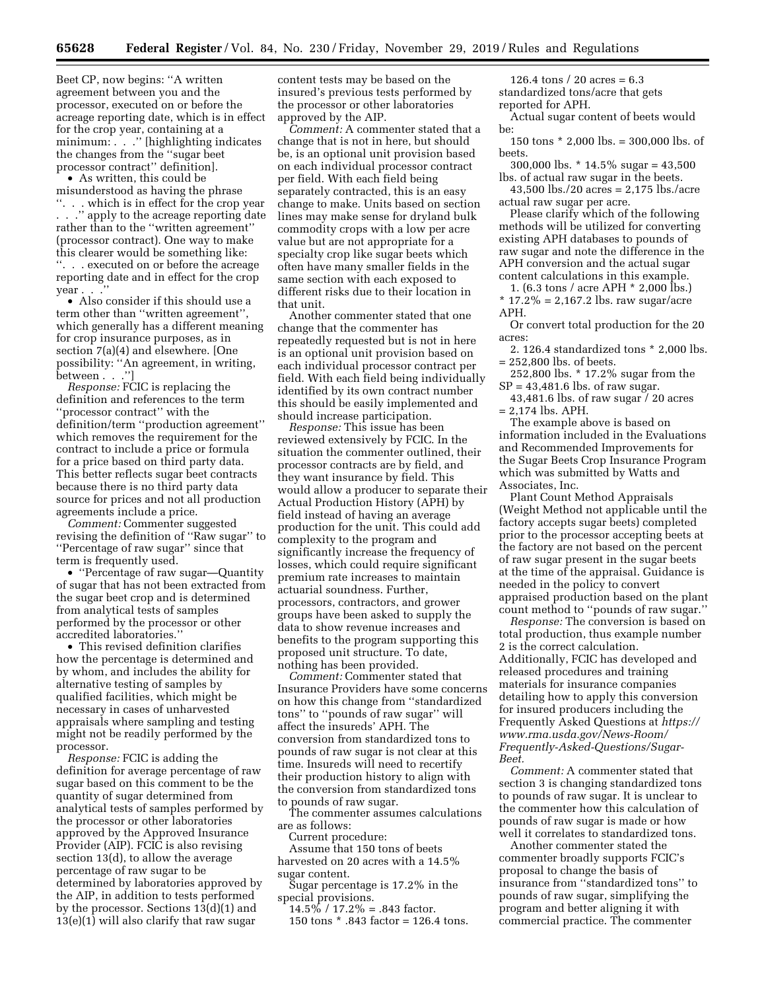Beet CP, now begins: ''A written agreement between you and the processor, executed on or before the acreage reporting date, which is in effect for the crop year, containing at a minimum: . . ." [highlighting indicates] the changes from the ''sugar beet processor contract'' definition].

• As written, this could be misunderstood as having the phrase ''. . . which is in effect for the crop year . . .'' apply to the acreage reporting date rather than to the ''written agreement'' (processor contract). One way to make this clearer would be something like: ''. . . executed on or before the acreage reporting date and in effect for the crop year . . .

• Also consider if this should use a term other than ''written agreement'', which generally has a different meaning for crop insurance purposes, as in section 7(a)(4) and elsewhere. [One possibility: ''An agreement, in writing, between . . .'']

*Response:* FCIC is replacing the definition and references to the term ''processor contract'' with the definition/term ''production agreement'' which removes the requirement for the contract to include a price or formula for a price based on third party data. This better reflects sugar beet contracts because there is no third party data source for prices and not all production agreements include a price.

*Comment:* Commenter suggested revising the definition of ''Raw sugar'' to ''Percentage of raw sugar'' since that term is frequently used.

• ''Percentage of raw sugar—Quantity of sugar that has not been extracted from the sugar beet crop and is determined from analytical tests of samples performed by the processor or other accredited laboratories.''

• This revised definition clarifies how the percentage is determined and by whom, and includes the ability for alternative testing of samples by qualified facilities, which might be necessary in cases of unharvested appraisals where sampling and testing might not be readily performed by the processor.

*Response:* FCIC is adding the definition for average percentage of raw sugar based on this comment to be the quantity of sugar determined from analytical tests of samples performed by the processor or other laboratories approved by the Approved Insurance Provider (AIP). FCIC is also revising section 13(d), to allow the average percentage of raw sugar to be determined by laboratories approved by the AIP, in addition to tests performed by the processor. Sections 13(d)(1) and 13(e)(1) will also clarify that raw sugar

content tests may be based on the insured's previous tests performed by the processor or other laboratories approved by the AIP.

*Comment:* A commenter stated that a change that is not in here, but should be, is an optional unit provision based on each individual processor contract per field. With each field being separately contracted, this is an easy change to make. Units based on section lines may make sense for dryland bulk commodity crops with a low per acre value but are not appropriate for a specialty crop like sugar beets which often have many smaller fields in the same section with each exposed to different risks due to their location in that unit.

Another commenter stated that one change that the commenter has repeatedly requested but is not in here is an optional unit provision based on each individual processor contract per field. With each field being individually identified by its own contract number this should be easily implemented and should increase participation.

*Response:* This issue has been reviewed extensively by FCIC. In the situation the commenter outlined, their processor contracts are by field, and they want insurance by field. This would allow a producer to separate their Actual Production History (APH) by field instead of having an average production for the unit. This could add complexity to the program and significantly increase the frequency of losses, which could require significant premium rate increases to maintain actuarial soundness. Further, processors, contractors, and grower groups have been asked to supply the data to show revenue increases and benefits to the program supporting this proposed unit structure. To date, nothing has been provided.

*Comment:* Commenter stated that Insurance Providers have some concerns on how this change from ''standardized tons'' to ''pounds of raw sugar'' will affect the insureds' APH. The conversion from standardized tons to pounds of raw sugar is not clear at this time. Insureds will need to recertify their production history to align with the conversion from standardized tons to pounds of raw sugar.

The commenter assumes calculations are as follows:

Current procedure:

Assume that 150 tons of beets harvested on 20 acres with a 14.5% sugar content.

Sugar percentage is 17.2% in the special provisions.

 $14.5\%$  / 17.2\% = .843 factor.

150 tons \* .843 factor = 126.4 tons.

126.4 tons  $/$  20 acres = 6.3 standardized tons/acre that gets reported for APH.

Actual sugar content of beets would be:

150 tons \* 2,000 lbs. = 300,000 lbs. of beets.

300,000 lbs. \* 14.5% sugar = 43,500 lbs. of actual raw sugar in the beets.

43,500 lbs./20 acres = 2,175 lbs./acre actual raw sugar per acre.

Please clarify which of the following methods will be utilized for converting existing APH databases to pounds of raw sugar and note the difference in the APH conversion and the actual sugar content calculations in this example.

1. (6.3 tons / acre APH \* 2,000 lbs.)  $*$  17.2% = 2,167.2 lbs. raw sugar/acre APH.

Or convert total production for the 20 acres:

2. 126.4 standardized tons \* 2,000 lbs. = 252,800 lbs. of beets.

252,800 lbs. \* 17.2% sugar from the  $SP = 43,481.6$  lbs. of raw sugar.

43,481.6 lbs. of raw sugar / 20 acres = 2,174 lbs. APH.

The example above is based on information included in the Evaluations and Recommended Improvements for the Sugar Beets Crop Insurance Program which was submitted by Watts and Associates, Inc.

Plant Count Method Appraisals (Weight Method not applicable until the factory accepts sugar beets) completed prior to the processor accepting beets at the factory are not based on the percent of raw sugar present in the sugar beets at the time of the appraisal. Guidance is needed in the policy to convert appraised production based on the plant count method to ''pounds of raw sugar.''

*Response:* The conversion is based on total production, thus example number 2 is the correct calculation. Additionally, FCIC has developed and released procedures and training materials for insurance companies detailing how to apply this conversion for insured producers including the Frequently Asked Questions at *[https://](https://www.rma.usda.gov/News-Room/Frequently-Asked-Questions/Sugar-Beet) [www.rma.usda.gov/News-Room/](https://www.rma.usda.gov/News-Room/Frequently-Asked-Questions/Sugar-Beet) [Frequently-Asked-Questions/Sugar-](https://www.rma.usda.gov/News-Room/Frequently-Asked-Questions/Sugar-Beet)[Beet.](https://www.rma.usda.gov/News-Room/Frequently-Asked-Questions/Sugar-Beet)* 

*Comment:* A commenter stated that section 3 is changing standardized tons to pounds of raw sugar. It is unclear to the commenter how this calculation of pounds of raw sugar is made or how well it correlates to standardized tons.

Another commenter stated the commenter broadly supports FCIC's proposal to change the basis of insurance from ''standardized tons'' to pounds of raw sugar, simplifying the program and better aligning it with commercial practice. The commenter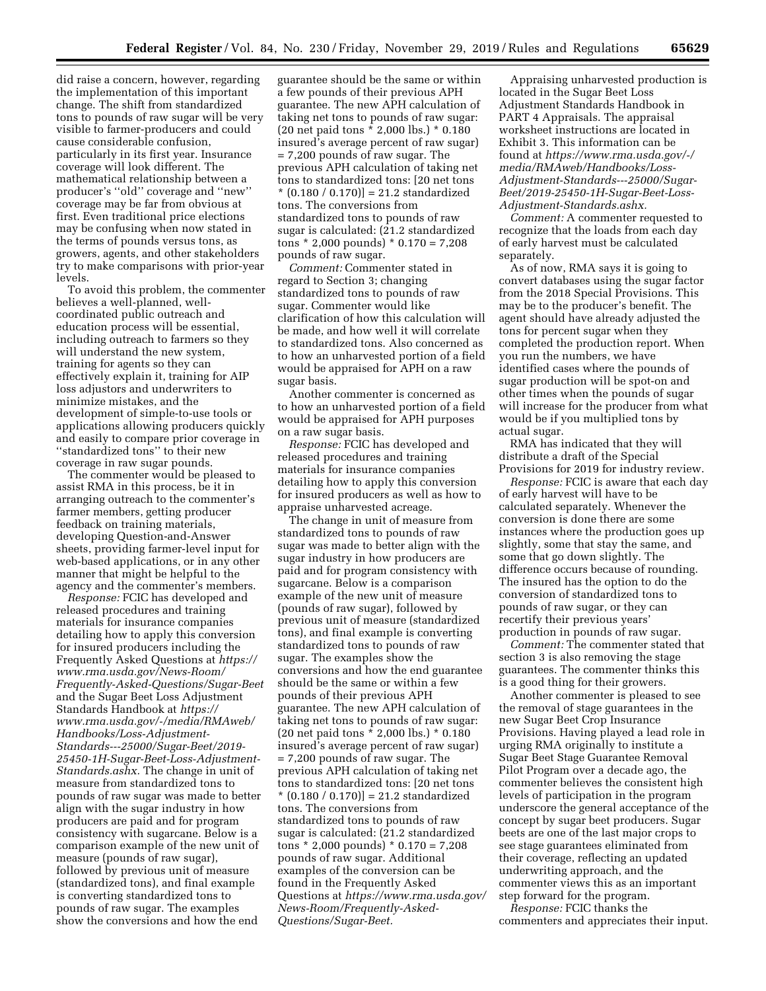did raise a concern, however, regarding the implementation of this important change. The shift from standardized tons to pounds of raw sugar will be very visible to farmer-producers and could cause considerable confusion, particularly in its first year. Insurance coverage will look different. The mathematical relationship between a producer's ''old'' coverage and ''new'' coverage may be far from obvious at first. Even traditional price elections may be confusing when now stated in the terms of pounds versus tons, as growers, agents, and other stakeholders try to make comparisons with prior-year levels.

To avoid this problem, the commenter believes a well-planned, wellcoordinated public outreach and education process will be essential, including outreach to farmers so they will understand the new system, training for agents so they can effectively explain it, training for AIP loss adjustors and underwriters to minimize mistakes, and the development of simple-to-use tools or applications allowing producers quickly and easily to compare prior coverage in ''standardized tons'' to their new coverage in raw sugar pounds.

The commenter would be pleased to assist RMA in this process, be it in arranging outreach to the commenter's farmer members, getting producer feedback on training materials, developing Question-and-Answer sheets, providing farmer-level input for web-based applications, or in any other manner that might be helpful to the agency and the commenter's members.

*Response:* FCIC has developed and released procedures and training materials for insurance companies detailing how to apply this conversion for insured producers including the Frequently Asked Questions at *[https://](https://www.rma.usda.gov/News-Room/Frequently-Asked-Questions/Sugar-Beet) [www.rma.usda.gov/News-Room/](https://www.rma.usda.gov/News-Room/Frequently-Asked-Questions/Sugar-Beet) [Frequently-Asked-Questions/Sugar-Beet](https://www.rma.usda.gov/News-Room/Frequently-Asked-Questions/Sugar-Beet)*  and the Sugar Beet Loss Adjustment Standards Handbook at *[https://](https://www.rma.usda.gov/-/media/RMAweb/Handbooks/Loss-Adjustment-Standards---25000/Sugar-Beet/2019-25450-1H-Sugar-Beet-Loss-Adjustment-Standards.ashx) [www.rma.usda.gov/-/media/RMAweb/](https://www.rma.usda.gov/-/media/RMAweb/Handbooks/Loss-Adjustment-Standards---25000/Sugar-Beet/2019-25450-1H-Sugar-Beet-Loss-Adjustment-Standards.ashx)  [Handbooks/Loss-Adjustment-](https://www.rma.usda.gov/-/media/RMAweb/Handbooks/Loss-Adjustment-Standards---25000/Sugar-Beet/2019-25450-1H-Sugar-Beet-Loss-Adjustment-Standards.ashx)[Standards---25000/Sugar-Beet/2019-](https://www.rma.usda.gov/-/media/RMAweb/Handbooks/Loss-Adjustment-Standards---25000/Sugar-Beet/2019-25450-1H-Sugar-Beet-Loss-Adjustment-Standards.ashx) [25450-1H-Sugar-Beet-Loss-Adjustment-](https://www.rma.usda.gov/-/media/RMAweb/Handbooks/Loss-Adjustment-Standards---25000/Sugar-Beet/2019-25450-1H-Sugar-Beet-Loss-Adjustment-Standards.ashx)[Standards.ashx.](https://www.rma.usda.gov/-/media/RMAweb/Handbooks/Loss-Adjustment-Standards---25000/Sugar-Beet/2019-25450-1H-Sugar-Beet-Loss-Adjustment-Standards.ashx)* The change in unit of measure from standardized tons to pounds of raw sugar was made to better align with the sugar industry in how producers are paid and for program consistency with sugarcane. Below is a comparison example of the new unit of measure (pounds of raw sugar), followed by previous unit of measure (standardized tons), and final example is converting standardized tons to pounds of raw sugar. The examples show the conversions and how the end

guarantee should be the same or within a few pounds of their previous APH guarantee. The new APH calculation of taking net tons to pounds of raw sugar: (20 net paid tons \* 2,000 lbs.) \* 0.180 insured's average percent of raw sugar) = 7,200 pounds of raw sugar. The previous APH calculation of taking net tons to standardized tons: [20 net tons  $*(0.180 / 0.170)] = 21.2$  standardized tons. The conversions from standardized tons to pounds of raw sugar is calculated: (21.2 standardized tons \* 2,000 pounds) \* 0.170 = 7,208 pounds of raw sugar.

*Comment:* Commenter stated in regard to Section 3; changing standardized tons to pounds of raw sugar. Commenter would like clarification of how this calculation will be made, and how well it will correlate to standardized tons. Also concerned as to how an unharvested portion of a field would be appraised for APH on a raw sugar basis.

Another commenter is concerned as to how an unharvested portion of a field would be appraised for APH purposes on a raw sugar basis.

*Response:* FCIC has developed and released procedures and training materials for insurance companies detailing how to apply this conversion for insured producers as well as how to appraise unharvested acreage.

The change in unit of measure from standardized tons to pounds of raw sugar was made to better align with the sugar industry in how producers are paid and for program consistency with sugarcane. Below is a comparison example of the new unit of measure (pounds of raw sugar), followed by previous unit of measure (standardized tons), and final example is converting standardized tons to pounds of raw sugar. The examples show the conversions and how the end guarantee should be the same or within a few pounds of their previous APH guarantee. The new APH calculation of taking net tons to pounds of raw sugar: (20 net paid tons \* 2,000 lbs.) \* 0.180 insured's average percent of raw sugar) = 7,200 pounds of raw sugar. The previous APH calculation of taking net tons to standardized tons: [20 net tons  $*(0.180 / 0.170)$  = 21.2 standardized tons. The conversions from standardized tons to pounds of raw sugar is calculated: (21.2 standardized tons \* 2,000 pounds) \* 0.170 = 7,208 pounds of raw sugar. Additional examples of the conversion can be found in the Frequently Asked Questions at *[https://www.rma.usda.gov/](https://www.rma.usda.gov/News-Room/Frequently-Asked-Questions/Sugar-Beet)  [News-Room/Frequently-Asked-](https://www.rma.usda.gov/News-Room/Frequently-Asked-Questions/Sugar-Beet)[Questions/Sugar-Beet.](https://www.rma.usda.gov/News-Room/Frequently-Asked-Questions/Sugar-Beet)* 

Appraising unharvested production is located in the Sugar Beet Loss Adjustment Standards Handbook in PART 4 Appraisals. The appraisal worksheet instructions are located in Exhibit 3. This information can be found at *[https://www.rma.usda.gov/-/](https://www.rma.usda.gov/-/media/RMAweb/Handbooks/Loss-Adjustment-Standards---25000/Sugar-Beet/2019-25450-1H-Sugar-Beet-Loss-Adjustment-Standards.ashx) [media/RMAweb/Handbooks/Loss-](https://www.rma.usda.gov/-/media/RMAweb/Handbooks/Loss-Adjustment-Standards---25000/Sugar-Beet/2019-25450-1H-Sugar-Beet-Loss-Adjustment-Standards.ashx)[Adjustment-Standards---25000/Sugar-](https://www.rma.usda.gov/-/media/RMAweb/Handbooks/Loss-Adjustment-Standards---25000/Sugar-Beet/2019-25450-1H-Sugar-Beet-Loss-Adjustment-Standards.ashx)[Beet/2019-25450-1H-Sugar-Beet-Loss-](https://www.rma.usda.gov/-/media/RMAweb/Handbooks/Loss-Adjustment-Standards---25000/Sugar-Beet/2019-25450-1H-Sugar-Beet-Loss-Adjustment-Standards.ashx)[Adjustment-Standards.ashx.](https://www.rma.usda.gov/-/media/RMAweb/Handbooks/Loss-Adjustment-Standards---25000/Sugar-Beet/2019-25450-1H-Sugar-Beet-Loss-Adjustment-Standards.ashx)* 

*Comment:* A commenter requested to recognize that the loads from each day of early harvest must be calculated separately.

As of now, RMA says it is going to convert databases using the sugar factor from the 2018 Special Provisions. This may be to the producer's benefit. The agent should have already adjusted the tons for percent sugar when they completed the production report. When you run the numbers, we have identified cases where the pounds of sugar production will be spot-on and other times when the pounds of sugar will increase for the producer from what would be if you multiplied tons by actual sugar.

RMA has indicated that they will distribute a draft of the Special Provisions for 2019 for industry review.

*Response:* FCIC is aware that each day of early harvest will have to be calculated separately. Whenever the conversion is done there are some instances where the production goes up slightly, some that stay the same, and some that go down slightly. The difference occurs because of rounding. The insured has the option to do the conversion of standardized tons to pounds of raw sugar, or they can recertify their previous years' production in pounds of raw sugar.

*Comment:* The commenter stated that section 3 is also removing the stage guarantees. The commenter thinks this is a good thing for their growers.

Another commenter is pleased to see the removal of stage guarantees in the new Sugar Beet Crop Insurance Provisions. Having played a lead role in urging RMA originally to institute a Sugar Beet Stage Guarantee Removal Pilot Program over a decade ago, the commenter believes the consistent high levels of participation in the program underscore the general acceptance of the concept by sugar beet producers. Sugar beets are one of the last major crops to see stage guarantees eliminated from their coverage, reflecting an updated underwriting approach, and the commenter views this as an important step forward for the program.

*Response:* FCIC thanks the commenters and appreciates their input.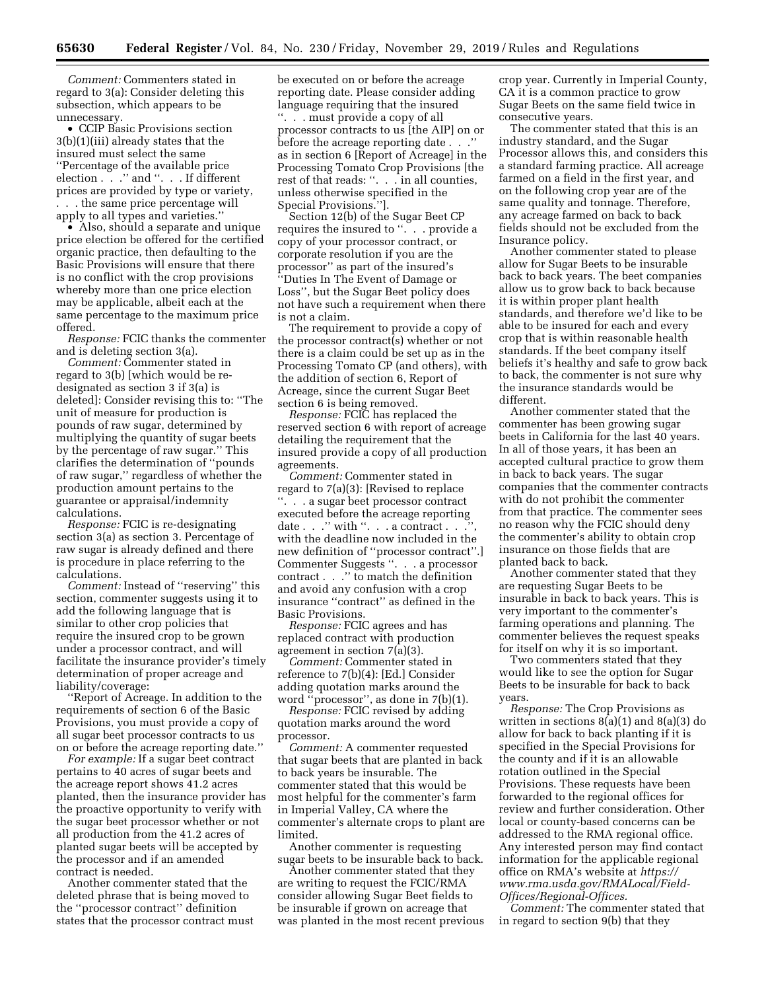*Comment:* Commenters stated in regard to 3(a): Consider deleting this subsection, which appears to be unnecessary.

• CCIP Basic Provisions section 3(b)(1)(iii) already states that the insured must select the same ''Percentage of the available price election . . . " and ". . . If different prices are provided by type or variety, . . . the same price percentage will apply to all types and varieties.''

• Also, should a separate and unique price election be offered for the certified organic practice, then defaulting to the Basic Provisions will ensure that there is no conflict with the crop provisions whereby more than one price election may be applicable, albeit each at the same percentage to the maximum price offered.

*Response:* FCIC thanks the commenter and is deleting section 3(a).

*Comment:* Commenter stated in regard to 3(b) [which would be redesignated as section 3 if 3(a) is deleted]: Consider revising this to: ''The unit of measure for production is pounds of raw sugar, determined by multiplying the quantity of sugar beets by the percentage of raw sugar.'' This clarifies the determination of ''pounds of raw sugar,'' regardless of whether the production amount pertains to the guarantee or appraisal/indemnity calculations.

*Response:* FCIC is re-designating section 3(a) as section 3. Percentage of raw sugar is already defined and there is procedure in place referring to the calculations.

*Comment:* Instead of ''reserving'' this section, commenter suggests using it to add the following language that is similar to other crop policies that require the insured crop to be grown under a processor contract, and will facilitate the insurance provider's timely determination of proper acreage and liability/coverage:

''Report of Acreage. In addition to the requirements of section 6 of the Basic Provisions, you must provide a copy of all sugar beet processor contracts to us on or before the acreage reporting date.''

*For example:* If a sugar beet contract pertains to 40 acres of sugar beets and the acreage report shows 41.2 acres planted, then the insurance provider has the proactive opportunity to verify with the sugar beet processor whether or not all production from the 41.2 acres of planted sugar beets will be accepted by the processor and if an amended contract is needed.

Another commenter stated that the deleted phrase that is being moved to the ''processor contract'' definition states that the processor contract must be executed on or before the acreage reporting date. Please consider adding language requiring that the insured ''. . . must provide a copy of all processor contracts to us [the AIP] on or before the acreage reporting date . . .'' as in section 6 [Report of Acreage] in the Processing Tomato Crop Provisions [the rest of that reads: ''. . . in all counties, unless otherwise specified in the Special Provisions.''].

Section 12(b) of the Sugar Beet CP requires the insured to ". . . provide a copy of your processor contract, or corporate resolution if you are the processor'' as part of the insured's ''Duties In The Event of Damage or Loss'', but the Sugar Beet policy does not have such a requirement when there is not a claim.

The requirement to provide a copy of the processor contract(s) whether or not there is a claim could be set up as in the Processing Tomato CP (and others), with the addition of section 6, Report of Acreage, since the current Sugar Beet section 6 is being removed.

*Response:* FCIC has replaced the reserved section 6 with report of acreage detailing the requirement that the insured provide a copy of all production agreements.

*Comment:* Commenter stated in regard to 7(a)(3): [Revised to replace ''. . . a sugar beet processor contract executed before the acreage reporting date  $\ldots$  " with ".  $\ldots$  a contract  $\ldots$ with the deadline now included in the new definition of ''processor contract''.] Commenter Suggests ''. . . a processor contract . . .'' to match the definition and avoid any confusion with a crop insurance ''contract'' as defined in the Basic Provisions.

*Response:* FCIC agrees and has replaced contract with production agreement in section 7(a)(3).

*Comment:* Commenter stated in reference to 7(b)(4): [Ed.] Consider adding quotation marks around the word ''processor'', as done in 7(b)(1).

*Response:* FCIC revised by adding quotation marks around the word processor.

*Comment:* A commenter requested that sugar beets that are planted in back to back years be insurable. The commenter stated that this would be most helpful for the commenter's farm in Imperial Valley, CA where the commenter's alternate crops to plant are limited.

Another commenter is requesting sugar beets to be insurable back to back.

Another commenter stated that they are writing to request the FCIC/RMA consider allowing Sugar Beet fields to be insurable if grown on acreage that was planted in the most recent previous crop year. Currently in Imperial County, CA it is a common practice to grow Sugar Beets on the same field twice in consecutive years.

The commenter stated that this is an industry standard, and the Sugar Processor allows this, and considers this a standard farming practice. All acreage farmed on a field in the first year, and on the following crop year are of the same quality and tonnage. Therefore, any acreage farmed on back to back fields should not be excluded from the Insurance policy.

Another commenter stated to please allow for Sugar Beets to be insurable back to back years. The beet companies allow us to grow back to back because it is within proper plant health standards, and therefore we'd like to be able to be insured for each and every crop that is within reasonable health standards. If the beet company itself beliefs it's healthy and safe to grow back to back, the commenter is not sure why the insurance standards would be different.

Another commenter stated that the commenter has been growing sugar beets in California for the last 40 years. In all of those years, it has been an accepted cultural practice to grow them in back to back years. The sugar companies that the commenter contracts with do not prohibit the commenter from that practice. The commenter sees no reason why the FCIC should deny the commenter's ability to obtain crop insurance on those fields that are planted back to back.

Another commenter stated that they are requesting Sugar Beets to be insurable in back to back years. This is very important to the commenter's farming operations and planning. The commenter believes the request speaks for itself on why it is so important.

Two commenters stated that they would like to see the option for Sugar Beets to be insurable for back to back years.

*Response:* The Crop Provisions as written in sections  $8(a)(1)$  and  $8(a)(3)$  do allow for back to back planting if it is specified in the Special Provisions for the county and if it is an allowable rotation outlined in the Special Provisions. These requests have been forwarded to the regional offices for review and further consideration. Other local or county-based concerns can be addressed to the RMA regional office. Any interested person may find contact information for the applicable regional office on RMA's website at *[https://](https://www.rma.usda.gov/RMALocal/Field-Offices/Regional-Offices) [www.rma.usda.gov/RMALocal/Field-](https://www.rma.usda.gov/RMALocal/Field-Offices/Regional-Offices)[Offices/Regional-Offices.](https://www.rma.usda.gov/RMALocal/Field-Offices/Regional-Offices)* 

*Comment:* The commenter stated that in regard to section 9(b) that they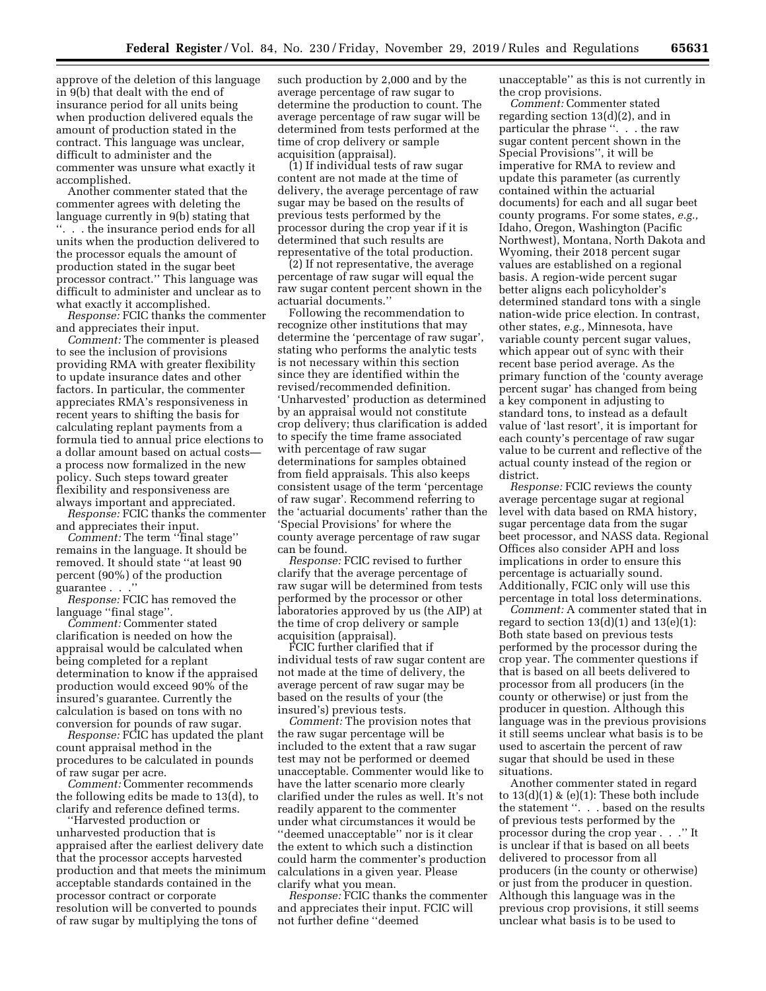approve of the deletion of this language in 9(b) that dealt with the end of insurance period for all units being when production delivered equals the amount of production stated in the contract. This language was unclear, difficult to administer and the commenter was unsure what exactly it accomplished.

Another commenter stated that the commenter agrees with deleting the language currently in 9(b) stating that ''. . . the insurance period ends for all units when the production delivered to the processor equals the amount of production stated in the sugar beet processor contract.'' This language was difficult to administer and unclear as to what exactly it accomplished.

*Response:* FCIC thanks the commenter and appreciates their input.

*Comment:* The commenter is pleased to see the inclusion of provisions providing RMA with greater flexibility to update insurance dates and other factors. In particular, the commenter appreciates RMA's responsiveness in recent years to shifting the basis for calculating replant payments from a formula tied to annual price elections to a dollar amount based on actual costs a process now formalized in the new policy. Such steps toward greater flexibility and responsiveness are always important and appreciated.

*Response:* FCIC thanks the commenter and appreciates their input.

*Comment:* The term ''final stage'' remains in the language. It should be removed. It should state ''at least 90 percent (90%) of the production guarantee . . .''

*Response:* FCIC has removed the language "final stage".

*Comment:* Commenter stated clarification is needed on how the appraisal would be calculated when being completed for a replant determination to know if the appraised production would exceed 90% of the insured's guarantee. Currently the calculation is based on tons with no conversion for pounds of raw sugar.

*Response:* FCIC has updated the plant count appraisal method in the procedures to be calculated in pounds of raw sugar per acre.

*Comment:* Commenter recommends the following edits be made to 13(d), to clarify and reference defined terms.

''Harvested production or unharvested production that is appraised after the earliest delivery date that the processor accepts harvested production and that meets the minimum acceptable standards contained in the processor contract or corporate resolution will be converted to pounds of raw sugar by multiplying the tons of

such production by 2,000 and by the average percentage of raw sugar to determine the production to count. The average percentage of raw sugar will be determined from tests performed at the time of crop delivery or sample acquisition (appraisal).

(1) If individual tests of raw sugar content are not made at the time of delivery, the average percentage of raw sugar may be based on the results of previous tests performed by the processor during the crop year if it is determined that such results are representative of the total production.

(2) If not representative, the average percentage of raw sugar will equal the raw sugar content percent shown in the actuarial documents.''

Following the recommendation to recognize other institutions that may determine the 'percentage of raw sugar', stating who performs the analytic tests is not necessary within this section since they are identified within the revised/recommended definition. 'Unharvested' production as determined by an appraisal would not constitute crop delivery; thus clarification is added to specify the time frame associated with percentage of raw sugar determinations for samples obtained from field appraisals. This also keeps consistent usage of the term 'percentage of raw sugar'. Recommend referring to the 'actuarial documents' rather than the 'Special Provisions' for where the county average percentage of raw sugar can be found.

*Response:* FCIC revised to further clarify that the average percentage of raw sugar will be determined from tests performed by the processor or other laboratories approved by us (the AIP) at the time of crop delivery or sample acquisition (appraisal).

FCIC further clarified that if individual tests of raw sugar content are not made at the time of delivery, the average percent of raw sugar may be based on the results of your (the insured's) previous tests.

*Comment:* The provision notes that the raw sugar percentage will be included to the extent that a raw sugar test may not be performed or deemed unacceptable. Commenter would like to have the latter scenario more clearly clarified under the rules as well. It's not readily apparent to the commenter under what circumstances it would be ''deemed unacceptable'' nor is it clear the extent to which such a distinction could harm the commenter's production calculations in a given year. Please clarify what you mean.

*Response:* FCIC thanks the commenter and appreciates their input. FCIC will not further define ''deemed

unacceptable'' as this is not currently in the crop provisions.

*Comment:* Commenter stated regarding section 13(d)(2), and in particular the phrase ''. . . the raw sugar content percent shown in the Special Provisions'', it will be imperative for RMA to review and update this parameter (as currently contained within the actuarial documents) for each and all sugar beet county programs. For some states, *e.g.,*  Idaho, Oregon, Washington (Pacific Northwest), Montana, North Dakota and Wyoming, their 2018 percent sugar values are established on a regional basis. A region-wide percent sugar better aligns each policyholder's determined standard tons with a single nation-wide price election. In contrast, other states, *e.g.,* Minnesota, have variable county percent sugar values, which appear out of sync with their recent base period average. As the primary function of the 'county average percent sugar' has changed from being a key component in adjusting to standard tons, to instead as a default value of 'last resort', it is important for each county's percentage of raw sugar value to be current and reflective of the actual county instead of the region or district.

*Response:* FCIC reviews the county average percentage sugar at regional level with data based on RMA history, sugar percentage data from the sugar beet processor, and NASS data. Regional Offices also consider APH and loss implications in order to ensure this percentage is actuarially sound. Additionally, FCIC only will use this percentage in total loss determinations.

*Comment:* A commenter stated that in regard to section  $13(d)(1)$  and  $13(e)(1)$ : Both state based on previous tests performed by the processor during the crop year. The commenter questions if that is based on all beets delivered to processor from all producers (in the county or otherwise) or just from the producer in question. Although this language was in the previous provisions it still seems unclear what basis is to be used to ascertain the percent of raw sugar that should be used in these situations.

Another commenter stated in regard to  $13(d)(1)$  & (e)(1): These both include the statement ''. . . based on the results of previous tests performed by the processor during the crop year . . .'' It is unclear if that is based on all beets delivered to processor from all producers (in the county or otherwise) or just from the producer in question. Although this language was in the previous crop provisions, it still seems unclear what basis is to be used to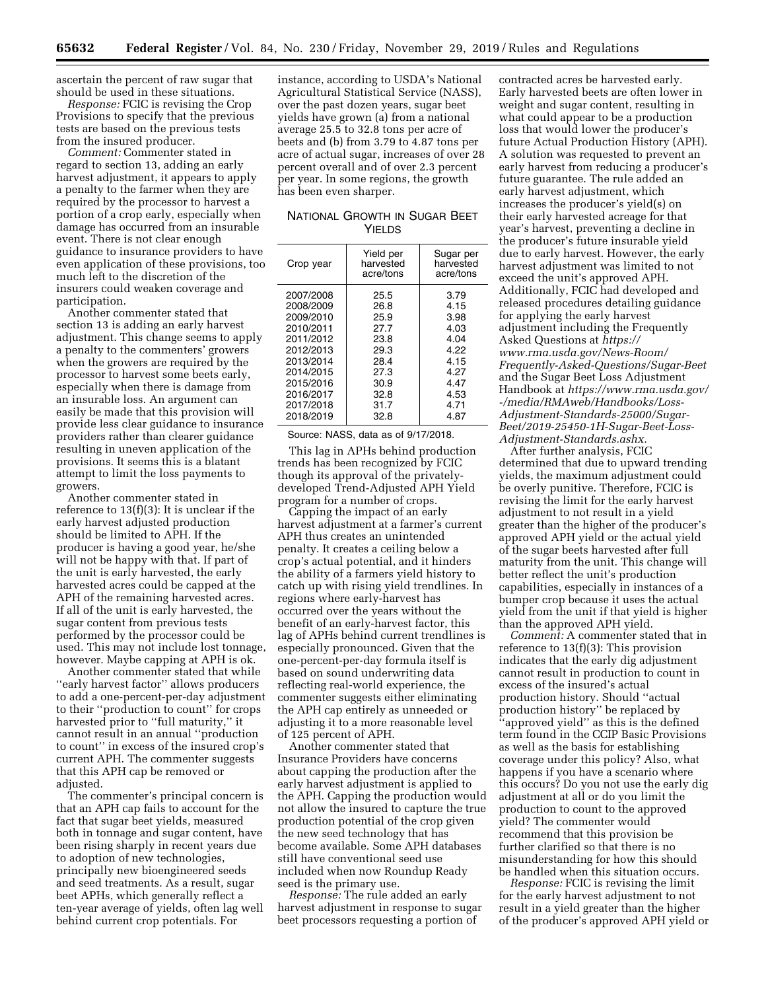ascertain the percent of raw sugar that should be used in these situations.

*Response:* FCIC is revising the Crop Provisions to specify that the previous tests are based on the previous tests from the insured producer.

*Comment:* Commenter stated in regard to section 13, adding an early harvest adjustment, it appears to apply a penalty to the farmer when they are required by the processor to harvest a portion of a crop early, especially when damage has occurred from an insurable event. There is not clear enough guidance to insurance providers to have even application of these provisions, too much left to the discretion of the insurers could weaken coverage and participation.

Another commenter stated that section 13 is adding an early harvest adjustment. This change seems to apply a penalty to the commenters' growers when the growers are required by the processor to harvest some beets early, especially when there is damage from an insurable loss. An argument can easily be made that this provision will provide less clear guidance to insurance providers rather than clearer guidance resulting in uneven application of the provisions. It seems this is a blatant attempt to limit the loss payments to growers.

Another commenter stated in reference to 13(f)(3): It is unclear if the early harvest adjusted production should be limited to APH. If the producer is having a good year, he/she will not be happy with that. If part of the unit is early harvested, the early harvested acres could be capped at the APH of the remaining harvested acres. If all of the unit is early harvested, the sugar content from previous tests performed by the processor could be used. This may not include lost tonnage, however. Maybe capping at APH is ok.

Another commenter stated that while ''early harvest factor'' allows producers to add a one-percent-per-day adjustment to their ''production to count'' for crops harvested prior to ''full maturity,'' it cannot result in an annual ''production to count'' in excess of the insured crop's current APH. The commenter suggests that this APH cap be removed or adjusted.

The commenter's principal concern is that an APH cap fails to account for the fact that sugar beet yields, measured both in tonnage and sugar content, have been rising sharply in recent years due to adoption of new technologies, principally new bioengineered seeds and seed treatments. As a result, sugar beet APHs, which generally reflect a ten-year average of yields, often lag well behind current crop potentials. For

instance, according to USDA's National Agricultural Statistical Service (NASS), over the past dozen years, sugar beet yields have grown (a) from a national average 25.5 to 32.8 tons per acre of beets and (b) from 3.79 to 4.87 tons per acre of actual sugar, increases of over 28 percent overall and of over 2.3 percent per year. In some regions, the growth has been even sharper.

## NATIONAL GROWTH IN SUGAR BEET YIELDS

| Yield per<br>harvested<br>acre/tons | Sugar per<br>harvested<br>acre/tons |
|-------------------------------------|-------------------------------------|
| 25.5                                | 3.79                                |
| 26.8                                | 4.15                                |
| 25.9                                | 3.98                                |
| 27.7                                | 4.03                                |
| 23.8                                | 4.04                                |
| 29.3                                | 4.22                                |
| 28.4                                | 4.15                                |
| 27.3                                | 4.27                                |
| 30.9                                | 4.47                                |
| 32.8                                | 4.53                                |
| 31.7                                | 4.71                                |
| 32.8                                | 4.87                                |
|                                     |                                     |

Source: NASS, data as of 9/17/2018.

This lag in APHs behind production trends has been recognized by FCIC though its approval of the privatelydeveloped Trend-Adjusted APH Yield program for a number of crops.

Capping the impact of an early harvest adjustment at a farmer's current APH thus creates an unintended penalty. It creates a ceiling below a crop's actual potential, and it hinders the ability of a farmers yield history to catch up with rising yield trendlines. In regions where early-harvest has occurred over the years without the benefit of an early-harvest factor, this lag of APHs behind current trendlines is especially pronounced. Given that the one-percent-per-day formula itself is based on sound underwriting data reflecting real-world experience, the commenter suggests either eliminating the APH cap entirely as unneeded or adjusting it to a more reasonable level of 125 percent of APH.

Another commenter stated that Insurance Providers have concerns about capping the production after the early harvest adjustment is applied to the APH. Capping the production would not allow the insured to capture the true production potential of the crop given the new seed technology that has become available. Some APH databases still have conventional seed use included when now Roundup Ready seed is the primary use.

*Response:* The rule added an early harvest adjustment in response to sugar beet processors requesting a portion of

contracted acres be harvested early. Early harvested beets are often lower in weight and sugar content, resulting in what could appear to be a production loss that would lower the producer's future Actual Production History (APH). A solution was requested to prevent an early harvest from reducing a producer's future guarantee. The rule added an early harvest adjustment, which increases the producer's yield(s) on their early harvested acreage for that year's harvest, preventing a decline in the producer's future insurable yield due to early harvest. However, the early harvest adjustment was limited to not exceed the unit's approved APH. Additionally, FCIC had developed and released procedures detailing guidance for applying the early harvest adjustment including the Frequently Asked Questions at *[https://](https://www.rma.usda.gov/News-Room/Frequently-Asked-Questions/Sugar-Beet) [www.rma.usda.gov/News-Room/](https://www.rma.usda.gov/News-Room/Frequently-Asked-Questions/Sugar-Beet) [Frequently-Asked-Questions/Sugar-Beet](https://www.rma.usda.gov/News-Room/Frequently-Asked-Questions/Sugar-Beet)*  and the Sugar Beet Loss Adjustment Handbook at *[https://www.rma.usda.gov/](https://www.rma.usda.gov/-/media/RMAweb/Handbooks/Loss-Adjustment-Standards-25000/Sugar-Beet/2019-25450-1H-Sugar-Beet-Loss-Adjustment-Standards.ashx)  [-/media/RMAweb/Handbooks/Loss-](https://www.rma.usda.gov/-/media/RMAweb/Handbooks/Loss-Adjustment-Standards-25000/Sugar-Beet/2019-25450-1H-Sugar-Beet-Loss-Adjustment-Standards.ashx)[Adjustment-Standards-25000/Sugar-](https://www.rma.usda.gov/-/media/RMAweb/Handbooks/Loss-Adjustment-Standards-25000/Sugar-Beet/2019-25450-1H-Sugar-Beet-Loss-Adjustment-Standards.ashx)[Beet/2019-25450-1H-Sugar-Beet-Loss-](https://www.rma.usda.gov/-/media/RMAweb/Handbooks/Loss-Adjustment-Standards-25000/Sugar-Beet/2019-25450-1H-Sugar-Beet-Loss-Adjustment-Standards.ashx)[Adjustment-Standards.ashx.](https://www.rma.usda.gov/-/media/RMAweb/Handbooks/Loss-Adjustment-Standards-25000/Sugar-Beet/2019-25450-1H-Sugar-Beet-Loss-Adjustment-Standards.ashx)* 

After further analysis, FCIC determined that due to upward trending yields, the maximum adjustment could be overly punitive. Therefore, FCIC is revising the limit for the early harvest adjustment to not result in a yield greater than the higher of the producer's approved APH yield or the actual yield of the sugar beets harvested after full maturity from the unit. This change will better reflect the unit's production capabilities, especially in instances of a bumper crop because it uses the actual yield from the unit if that yield is higher than the approved APH yield.

*Comment:* A commenter stated that in reference to 13(f)(3): This provision indicates that the early dig adjustment cannot result in production to count in excess of the insured's actual production history. Should ''actual production history'' be replaced by ''approved yield'' as this is the defined term found in the CCIP Basic Provisions as well as the basis for establishing coverage under this policy? Also, what happens if you have a scenario where this occurs? Do you not use the early dig adjustment at all or do you limit the production to count to the approved yield? The commenter would recommend that this provision be further clarified so that there is no misunderstanding for how this should be handled when this situation occurs.

*Response:* FCIC is revising the limit for the early harvest adjustment to not result in a yield greater than the higher of the producer's approved APH yield or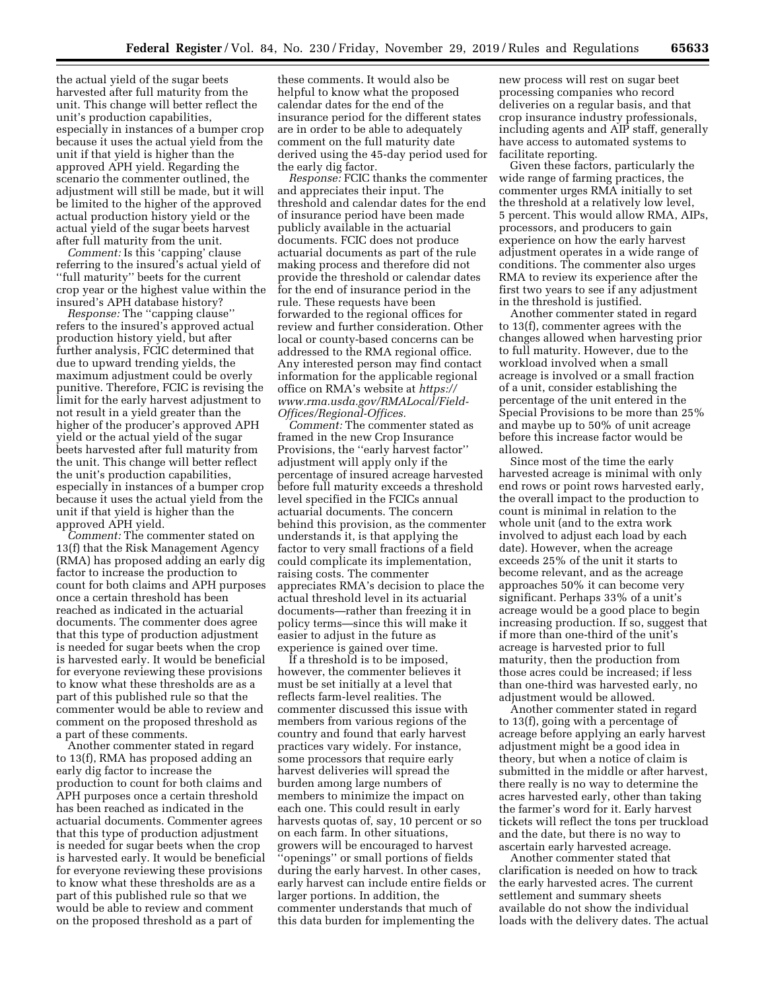the actual yield of the sugar beets harvested after full maturity from the unit. This change will better reflect the unit's production capabilities, especially in instances of a bumper crop because it uses the actual yield from the unit if that yield is higher than the approved APH yield. Regarding the scenario the commenter outlined, the adjustment will still be made, but it will be limited to the higher of the approved actual production history yield or the actual yield of the sugar beets harvest after full maturity from the unit.

*Comment:* Is this 'capping' clause referring to the insured's actual yield of ''full maturity'' beets for the current crop year or the highest value within the insured's APH database history?

*Response:* The ''capping clause'' refers to the insured's approved actual production history yield, but after further analysis, FCIC determined that due to upward trending yields, the maximum adjustment could be overly punitive. Therefore, FCIC is revising the limit for the early harvest adjustment to not result in a yield greater than the higher of the producer's approved APH yield or the actual yield of the sugar beets harvested after full maturity from the unit. This change will better reflect the unit's production capabilities, especially in instances of a bumper crop because it uses the actual yield from the unit if that yield is higher than the approved APH yield.

*Comment:* The commenter stated on 13(f) that the Risk Management Agency (RMA) has proposed adding an early dig factor to increase the production to count for both claims and APH purposes once a certain threshold has been reached as indicated in the actuarial documents. The commenter does agree that this type of production adjustment is needed for sugar beets when the crop is harvested early. It would be beneficial for everyone reviewing these provisions to know what these thresholds are as a part of this published rule so that the commenter would be able to review and comment on the proposed threshold as a part of these comments.

Another commenter stated in regard to 13(f), RMA has proposed adding an early dig factor to increase the production to count for both claims and APH purposes once a certain threshold has been reached as indicated in the actuarial documents. Commenter agrees that this type of production adjustment is needed for sugar beets when the crop is harvested early. It would be beneficial for everyone reviewing these provisions to know what these thresholds are as a part of this published rule so that we would be able to review and comment on the proposed threshold as a part of

these comments. It would also be helpful to know what the proposed calendar dates for the end of the insurance period for the different states are in order to be able to adequately comment on the full maturity date derived using the 45-day period used for the early dig factor.

*Response:* FCIC thanks the commenter and appreciates their input. The threshold and calendar dates for the end of insurance period have been made publicly available in the actuarial documents. FCIC does not produce actuarial documents as part of the rule making process and therefore did not provide the threshold or calendar dates for the end of insurance period in the rule. These requests have been forwarded to the regional offices for review and further consideration. Other local or county-based concerns can be addressed to the RMA regional office. Any interested person may find contact information for the applicable regional office on RMA's website at *[https://](https://www.rma.usda.gov/RMALocal/Field-Offices/Regional-Offices) [www.rma.usda.gov/RMALocal/Field-](https://www.rma.usda.gov/RMALocal/Field-Offices/Regional-Offices)[Offices/Regional-Offices.](https://www.rma.usda.gov/RMALocal/Field-Offices/Regional-Offices)* 

*Comment:* The commenter stated as framed in the new Crop Insurance Provisions, the ''early harvest factor'' adjustment will apply only if the percentage of insured acreage harvested before full maturity exceeds a threshold level specified in the FCICs annual actuarial documents. The concern behind this provision, as the commenter understands it, is that applying the factor to very small fractions of a field could complicate its implementation, raising costs. The commenter appreciates RMA's decision to place the actual threshold level in its actuarial documents—rather than freezing it in policy terms—since this will make it easier to adjust in the future as experience is gained over time.

If a threshold is to be imposed, however, the commenter believes it must be set initially at a level that reflects farm-level realities. The commenter discussed this issue with members from various regions of the country and found that early harvest practices vary widely. For instance, some processors that require early harvest deliveries will spread the burden among large numbers of members to minimize the impact on each one. This could result in early harvests quotas of, say, 10 percent or so on each farm. In other situations, growers will be encouraged to harvest ''openings'' or small portions of fields during the early harvest. In other cases, early harvest can include entire fields or larger portions. In addition, the commenter understands that much of this data burden for implementing the

new process will rest on sugar beet processing companies who record deliveries on a regular basis, and that crop insurance industry professionals, including agents and AIP staff, generally have access to automated systems to facilitate reporting.

Given these factors, particularly the wide range of farming practices, the commenter urges RMA initially to set the threshold at a relatively low level, 5 percent. This would allow RMA, AIPs, processors, and producers to gain experience on how the early harvest adjustment operates in a wide range of conditions. The commenter also urges RMA to review its experience after the first two years to see if any adjustment in the threshold is justified.

Another commenter stated in regard to 13(f), commenter agrees with the changes allowed when harvesting prior to full maturity. However, due to the workload involved when a small acreage is involved or a small fraction of a unit, consider establishing the percentage of the unit entered in the Special Provisions to be more than 25% and maybe up to 50% of unit acreage before this increase factor would be allowed.

Since most of the time the early harvested acreage is minimal with only end rows or point rows harvested early, the overall impact to the production to count is minimal in relation to the whole unit (and to the extra work involved to adjust each load by each date). However, when the acreage exceeds 25% of the unit it starts to become relevant, and as the acreage approaches 50% it can become very significant. Perhaps 33% of a unit's acreage would be a good place to begin increasing production. If so, suggest that if more than one-third of the unit's acreage is harvested prior to full maturity, then the production from those acres could be increased; if less than one-third was harvested early, no adjustment would be allowed.

Another commenter stated in regard to 13(f), going with a percentage of acreage before applying an early harvest adjustment might be a good idea in theory, but when a notice of claim is submitted in the middle or after harvest, there really is no way to determine the acres harvested early, other than taking the farmer's word for it. Early harvest tickets will reflect the tons per truckload and the date, but there is no way to ascertain early harvested acreage.

Another commenter stated that clarification is needed on how to track the early harvested acres. The current settlement and summary sheets available do not show the individual loads with the delivery dates. The actual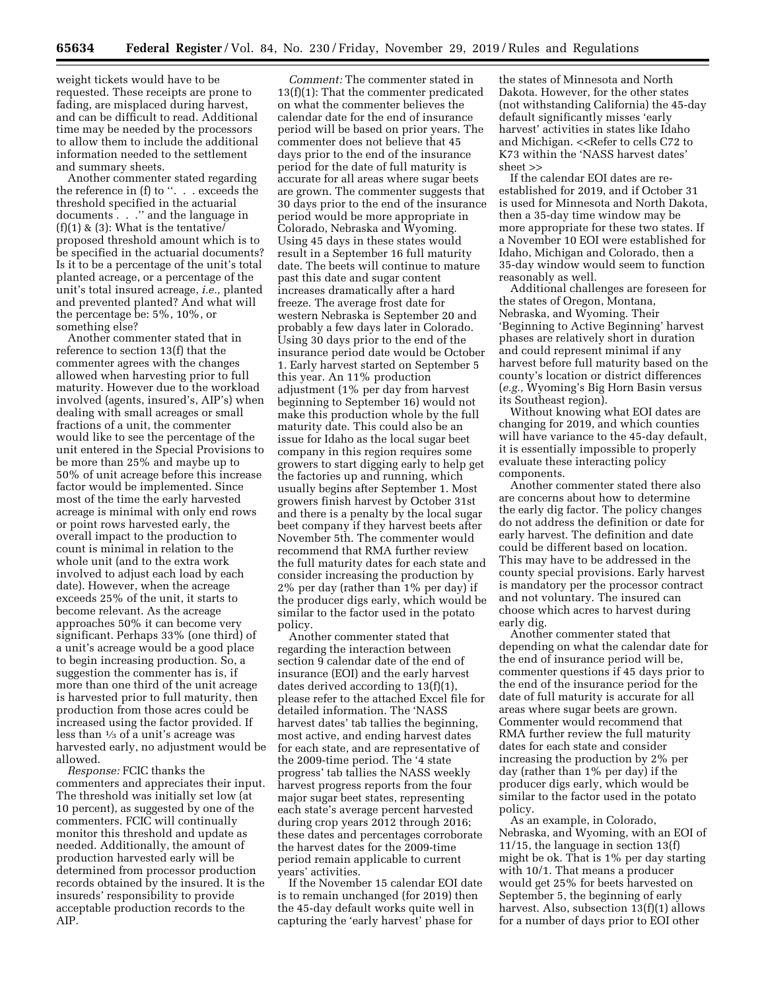weight tickets would have to be requested. These receipts are prone to fading, are misplaced during harvest, and can be difficult to read. Additional time may be needed by the processors to allow them to include the additional information needed to the settlement and summary sheets.

Another commenter stated regarding the reference in (f) to ''. . . exceeds the threshold specified in the actuarial documents . . .'' and the language in  $(f)(1)$  &  $(3)$ : What is the tentative proposed threshold amount which is to be specified in the actuarial documents? Is it to be a percentage of the unit's total planted acreage, or a percentage of the unit's total insured acreage, *i.e.,* planted and prevented planted? And what will the percentage be: 5%, 10%, or something else?

Another commenter stated that in reference to section 13(f) that the commenter agrees with the changes allowed when harvesting prior to full maturity. However due to the workload involved (agents, insured's, AIP's) when dealing with small acreages or small fractions of a unit, the commenter would like to see the percentage of the unit entered in the Special Provisions to be more than 25% and maybe up to 50% of unit acreage before this increase factor would be implemented. Since most of the time the early harvested acreage is minimal with only end rows or point rows harvested early, the overall impact to the production to count is minimal in relation to the whole unit (and to the extra work involved to adjust each load by each date). However, when the acreage exceeds 25% of the unit, it starts to become relevant. As the acreage approaches 50% it can become very significant. Perhaps 33% (one third) of a unit's acreage would be a good place to begin increasing production. So, a suggestion the commenter has is, if more than one third of the unit acreage is harvested prior to full maturity, then production from those acres could be increased using the factor provided. If less than 1⁄3 of a unit's acreage was harvested early, no adjustment would be allowed.

*Response:* FCIC thanks the commenters and appreciates their input. The threshold was initially set low (at 10 percent), as suggested by one of the commenters. FCIC will continually monitor this threshold and update as needed. Additionally, the amount of production harvested early will be determined from processor production records obtained by the insured. It is the insureds' responsibility to provide acceptable production records to the AIP.

*Comment:* The commenter stated in 13(f)(1): That the commenter predicated on what the commenter believes the calendar date for the end of insurance period will be based on prior years. The commenter does not believe that 45 days prior to the end of the insurance period for the date of full maturity is accurate for all areas where sugar beets are grown. The commenter suggests that 30 days prior to the end of the insurance period would be more appropriate in Colorado, Nebraska and Wyoming. Using 45 days in these states would result in a September 16 full maturity date. The beets will continue to mature past this date and sugar content increases dramatically after a hard freeze. The average frost date for western Nebraska is September 20 and probably a few days later in Colorado. Using 30 days prior to the end of the insurance period date would be October 1. Early harvest started on September 5 this year. An 11% production adjustment (1% per day from harvest beginning to September 16) would not make this production whole by the full maturity date. This could also be an issue for Idaho as the local sugar beet company in this region requires some growers to start digging early to help get the factories up and running, which usually begins after September 1. Most growers finish harvest by October 31st and there is a penalty by the local sugar beet company if they harvest beets after November 5th. The commenter would recommend that RMA further review the full maturity dates for each state and consider increasing the production by 2% per day (rather than 1% per day) if the producer digs early, which would be similar to the factor used in the potato policy.

Another commenter stated that regarding the interaction between section 9 calendar date of the end of insurance (EOI) and the early harvest dates derived according to 13(f)(1), please refer to the attached Excel file for detailed information. The 'NASS harvest dates' tab tallies the beginning, most active, and ending harvest dates for each state, and are representative of the 2009-time period. The '4 state progress' tab tallies the NASS weekly harvest progress reports from the four major sugar beet states, representing each state's average percent harvested during crop years 2012 through 2016; these dates and percentages corroborate the harvest dates for the 2009-time period remain applicable to current years' activities.

If the November 15 calendar EOI date is to remain unchanged (for 2019) then the 45-day default works quite well in capturing the 'early harvest' phase for

the states of Minnesota and North Dakota. However, for the other states (not withstanding California) the 45-day default significantly misses 'early harvest' activities in states like Idaho and Michigan. <<Refer to cells C72 to K73 within the 'NASS harvest dates' sheet >>

If the calendar EOI dates are reestablished for 2019, and if October 31 is used for Minnesota and North Dakota, then a 35-day time window may be more appropriate for these two states. If a November 10 EOI were established for Idaho, Michigan and Colorado, then a 35-day window would seem to function reasonably as well.

Additional challenges are foreseen for the states of Oregon, Montana, Nebraska, and Wyoming. Their 'Beginning to Active Beginning' harvest phases are relatively short in duration and could represent minimal if any harvest before full maturity based on the county's location or district differences (*e.g.,* Wyoming's Big Horn Basin versus its Southeast region).

Without knowing what EOI dates are changing for 2019, and which counties will have variance to the 45-day default, it is essentially impossible to properly evaluate these interacting policy components.

Another commenter stated there also are concerns about how to determine the early dig factor. The policy changes do not address the definition or date for early harvest. The definition and date could be different based on location. This may have to be addressed in the county special provisions. Early harvest is mandatory per the processor contract and not voluntary. The insured can choose which acres to harvest during early dig.

Another commenter stated that depending on what the calendar date for the end of insurance period will be, commenter questions if 45 days prior to the end of the insurance period for the date of full maturity is accurate for all areas where sugar beets are grown. Commenter would recommend that RMA further review the full maturity dates for each state and consider increasing the production by 2% per day (rather than 1% per day) if the producer digs early, which would be similar to the factor used in the potato policy.

As an example, in Colorado, Nebraska, and Wyoming, with an EOI of 11/15, the language in section 13(f) might be ok. That is 1% per day starting with 10/1. That means a producer would get 25% for beets harvested on September 5, the beginning of early harvest. Also, subsection 13(f)(1) allows for a number of days prior to EOI other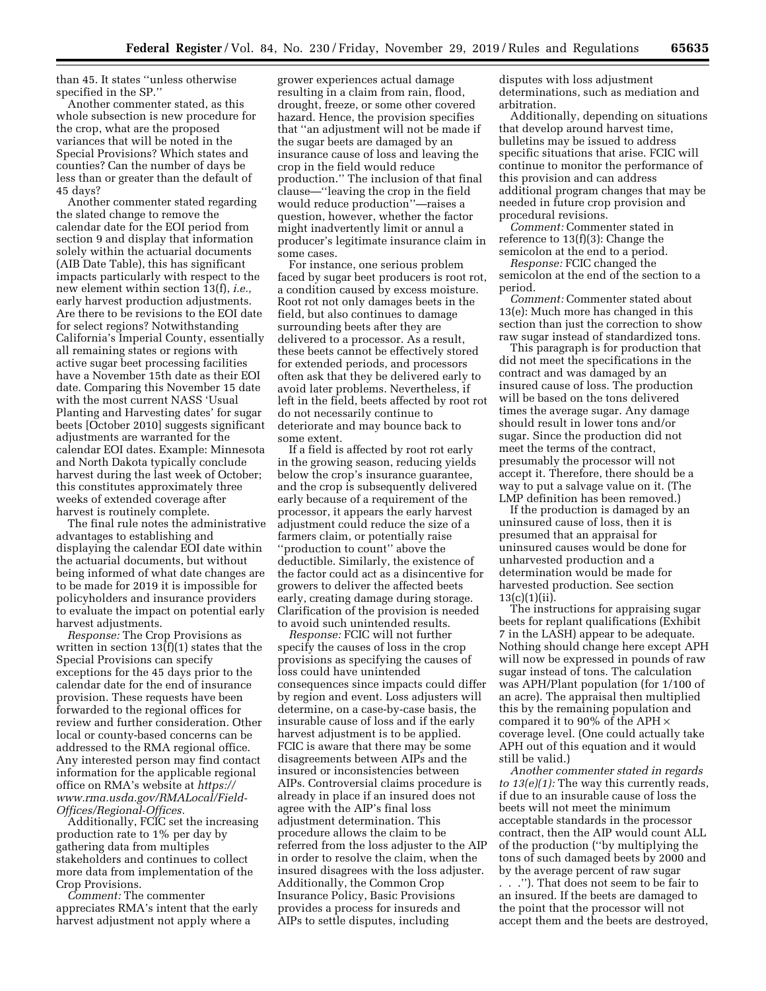than 45. It states ''unless otherwise specified in the SP.''

Another commenter stated, as this whole subsection is new procedure for the crop, what are the proposed variances that will be noted in the Special Provisions? Which states and counties? Can the number of days be less than or greater than the default of 45 days?

Another commenter stated regarding the slated change to remove the calendar date for the EOI period from section 9 and display that information solely within the actuarial documents (AIB Date Table), this has significant impacts particularly with respect to the new element within section 13(f), *i.e.,*  early harvest production adjustments. Are there to be revisions to the EOI date for select regions? Notwithstanding California's Imperial County, essentially all remaining states or regions with active sugar beet processing facilities have a November 15th date as their EOI date. Comparing this November 15 date with the most current NASS 'Usual Planting and Harvesting dates' for sugar beets [October 2010] suggests significant adjustments are warranted for the calendar EOI dates. Example: Minnesota and North Dakota typically conclude harvest during the last week of October; this constitutes approximately three weeks of extended coverage after harvest is routinely complete.

The final rule notes the administrative advantages to establishing and displaying the calendar EOI date within the actuarial documents, but without being informed of what date changes are to be made for 2019 it is impossible for policyholders and insurance providers to evaluate the impact on potential early harvest adjustments.

*Response:* The Crop Provisions as written in section 13(f)(1) states that the Special Provisions can specify exceptions for the 45 days prior to the calendar date for the end of insurance provision. These requests have been forwarded to the regional offices for review and further consideration. Other local or county-based concerns can be addressed to the RMA regional office. Any interested person may find contact information for the applicable regional office on RMA's website at *[https://](https://www.rma.usda.gov/RMALocal/Field-Offices/Regional-Offices) [www.rma.usda.gov/RMALocal/Field-](https://www.rma.usda.gov/RMALocal/Field-Offices/Regional-Offices)[Offices/Regional-Offices.](https://www.rma.usda.gov/RMALocal/Field-Offices/Regional-Offices)* 

Additionally, FCIC set the increasing production rate to 1% per day by gathering data from multiples stakeholders and continues to collect more data from implementation of the Crop Provisions.

*Comment:* The commenter appreciates RMA's intent that the early harvest adjustment not apply where a

grower experiences actual damage resulting in a claim from rain, flood, drought, freeze, or some other covered hazard. Hence, the provision specifies that ''an adjustment will not be made if the sugar beets are damaged by an insurance cause of loss and leaving the crop in the field would reduce production.'' The inclusion of that final clause—''leaving the crop in the field would reduce production''—raises a question, however, whether the factor might inadvertently limit or annul a producer's legitimate insurance claim in some cases.

For instance, one serious problem faced by sugar beet producers is root rot, a condition caused by excess moisture. Root rot not only damages beets in the field, but also continues to damage surrounding beets after they are delivered to a processor. As a result, these beets cannot be effectively stored for extended periods, and processors often ask that they be delivered early to avoid later problems. Nevertheless, if left in the field, beets affected by root rot do not necessarily continue to deteriorate and may bounce back to some extent.

If a field is affected by root rot early in the growing season, reducing yields below the crop's insurance guarantee, and the crop is subsequently delivered early because of a requirement of the processor, it appears the early harvest adjustment could reduce the size of a farmers claim, or potentially raise ''production to count'' above the deductible. Similarly, the existence of the factor could act as a disincentive for growers to deliver the affected beets early, creating damage during storage. Clarification of the provision is needed to avoid such unintended results.

*Response:* FCIC will not further specify the causes of loss in the crop provisions as specifying the causes of loss could have unintended consequences since impacts could differ by region and event. Loss adjusters will determine, on a case-by-case basis, the insurable cause of loss and if the early harvest adjustment is to be applied. FCIC is aware that there may be some disagreements between AIPs and the insured or inconsistencies between AIPs. Controversial claims procedure is already in place if an insured does not agree with the AIP's final loss adjustment determination. This procedure allows the claim to be referred from the loss adjuster to the AIP in order to resolve the claim, when the insured disagrees with the loss adjuster. Additionally, the Common Crop Insurance Policy, Basic Provisions provides a process for insureds and AIPs to settle disputes, including

disputes with loss adjustment determinations, such as mediation and arbitration.

Additionally, depending on situations that develop around harvest time, bulletins may be issued to address specific situations that arise. FCIC will continue to monitor the performance of this provision and can address additional program changes that may be needed in future crop provision and procedural revisions.

*Comment:* Commenter stated in reference to 13(f)(3): Change the semicolon at the end to a period.

*Response:* FCIC changed the semicolon at the end of the section to a period.

*Comment:* Commenter stated about 13(e): Much more has changed in this section than just the correction to show raw sugar instead of standardized tons.

This paragraph is for production that did not meet the specifications in the contract and was damaged by an insured cause of loss. The production will be based on the tons delivered times the average sugar. Any damage should result in lower tons and/or sugar. Since the production did not meet the terms of the contract, presumably the processor will not accept it. Therefore, there should be a way to put a salvage value on it. (The LMP definition has been removed.)

If the production is damaged by an uninsured cause of loss, then it is presumed that an appraisal for uninsured causes would be done for unharvested production and a determination would be made for harvested production. See section  $13(c)(1)(ii)$ .

The instructions for appraising sugar beets for replant qualifications (Exhibit 7 in the LASH) appear to be adequate. Nothing should change here except APH will now be expressed in pounds of raw sugar instead of tons. The calculation was APH/Plant population (for 1/100 of an acre). The appraisal then multiplied this by the remaining population and compared it to 90% of the APH  $\times$ coverage level. (One could actually take APH out of this equation and it would still be valid.)

*Another commenter stated in regards to 13(e)(1):* The way this currently reads, if due to an insurable cause of loss the beets will not meet the minimum acceptable standards in the processor contract, then the AIP would count ALL of the production (''by multiplying the tons of such damaged beets by 2000 and by the average percent of raw sugar . . .''). That does not seem to be fair to an insured. If the beets are damaged to the point that the processor will not accept them and the beets are destroyed,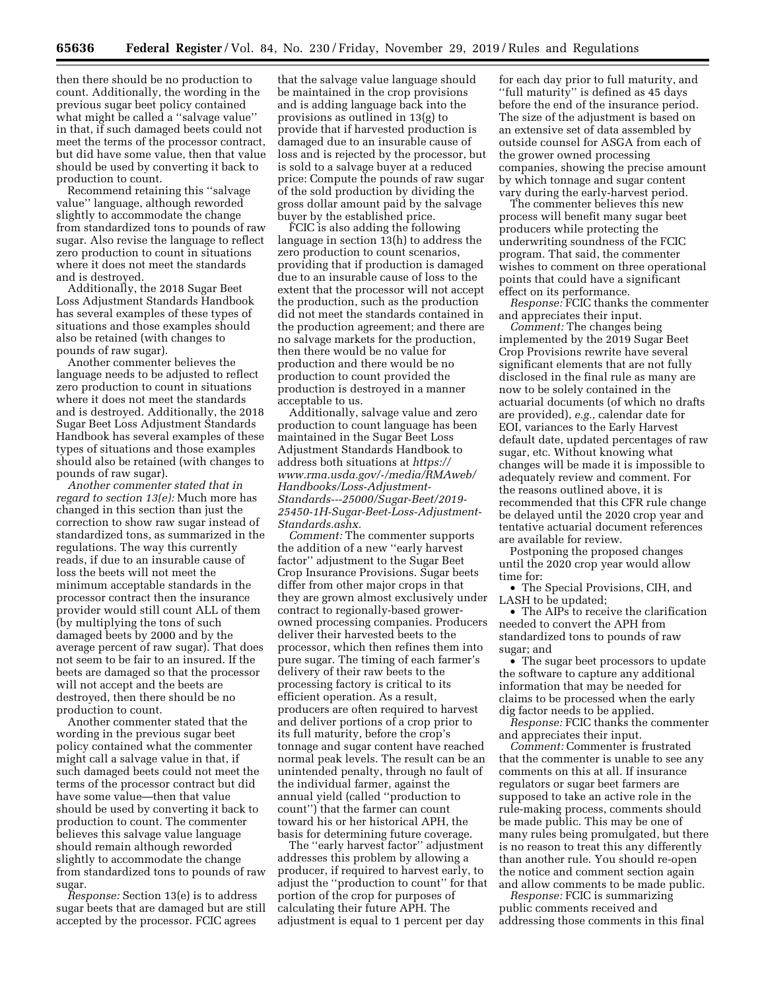then there should be no production to count. Additionally, the wording in the previous sugar beet policy contained what might be called a "salvage value" in that, if such damaged beets could not meet the terms of the processor contract, but did have some value, then that value should be used by converting it back to production to count.

Recommend retaining this ''salvage value'' language, although reworded slightly to accommodate the change from standardized tons to pounds of raw sugar. Also revise the language to reflect zero production to count in situations where it does not meet the standards and is destroyed.

Additionally, the 2018 Sugar Beet Loss Adjustment Standards Handbook has several examples of these types of situations and those examples should also be retained (with changes to pounds of raw sugar).

Another commenter believes the language needs to be adjusted to reflect zero production to count in situations where it does not meet the standards and is destroyed. Additionally, the 2018 Sugar Beet Loss Adjustment Standards Handbook has several examples of these types of situations and those examples should also be retained (with changes to pounds of raw sugar).

*Another commenter stated that in regard to section 13(e):* Much more has changed in this section than just the correction to show raw sugar instead of standardized tons, as summarized in the regulations. The way this currently reads, if due to an insurable cause of loss the beets will not meet the minimum acceptable standards in the processor contract then the insurance provider would still count ALL of them (by multiplying the tons of such damaged beets by 2000 and by the average percent of raw sugar). That does not seem to be fair to an insured. If the beets are damaged so that the processor will not accept and the beets are destroyed, then there should be no production to count.

Another commenter stated that the wording in the previous sugar beet policy contained what the commenter might call a salvage value in that, if such damaged beets could not meet the terms of the processor contract but did have some value—then that value should be used by converting it back to production to count. The commenter believes this salvage value language should remain although reworded slightly to accommodate the change from standardized tons to pounds of raw sugar.

*Response:* Section 13(e) is to address sugar beets that are damaged but are still accepted by the processor. FCIC agrees

that the salvage value language should be maintained in the crop provisions and is adding language back into the provisions as outlined in 13(g) to provide that if harvested production is damaged due to an insurable cause of loss and is rejected by the processor, but is sold to a salvage buyer at a reduced price: Compute the pounds of raw sugar of the sold production by dividing the gross dollar amount paid by the salvage buyer by the established price.

FCIC is also adding the following language in section 13(h) to address the zero production to count scenarios, providing that if production is damaged due to an insurable cause of loss to the extent that the processor will not accept the production, such as the production did not meet the standards contained in the production agreement; and there are no salvage markets for the production, then there would be no value for production and there would be no production to count provided the production is destroyed in a manner acceptable to us.

Additionally, salvage value and zero production to count language has been maintained in the Sugar Beet Loss Adjustment Standards Handbook to address both situations at *[https://](https://www.rma.usda.gov/-/media/RMAweb/Handbooks/Loss-Adjustment-Standards---25000/Sugar-Beet/2019-25450-1H-Sugar-Beet-Loss-Adjustment-Standards.ashx) [www.rma.usda.gov/-/media/RMAweb/](https://www.rma.usda.gov/-/media/RMAweb/Handbooks/Loss-Adjustment-Standards---25000/Sugar-Beet/2019-25450-1H-Sugar-Beet-Loss-Adjustment-Standards.ashx)  [Handbooks/Loss-Adjustment-](https://www.rma.usda.gov/-/media/RMAweb/Handbooks/Loss-Adjustment-Standards---25000/Sugar-Beet/2019-25450-1H-Sugar-Beet-Loss-Adjustment-Standards.ashx)[Standards---25000/Sugar-Beet/2019-](https://www.rma.usda.gov/-/media/RMAweb/Handbooks/Loss-Adjustment-Standards---25000/Sugar-Beet/2019-25450-1H-Sugar-Beet-Loss-Adjustment-Standards.ashx) [25450-1H-Sugar-Beet-Loss-Adjustment-](https://www.rma.usda.gov/-/media/RMAweb/Handbooks/Loss-Adjustment-Standards---25000/Sugar-Beet/2019-25450-1H-Sugar-Beet-Loss-Adjustment-Standards.ashx)[Standards.ashx.](https://www.rma.usda.gov/-/media/RMAweb/Handbooks/Loss-Adjustment-Standards---25000/Sugar-Beet/2019-25450-1H-Sugar-Beet-Loss-Adjustment-Standards.ashx)* 

*Comment:* The commenter supports the addition of a new ''early harvest factor'' adjustment to the Sugar Beet Crop Insurance Provisions. Sugar beets differ from other major crops in that they are grown almost exclusively under contract to regionally-based growerowned processing companies. Producers deliver their harvested beets to the processor, which then refines them into pure sugar. The timing of each farmer's delivery of their raw beets to the processing factory is critical to its efficient operation. As a result, producers are often required to harvest and deliver portions of a crop prior to its full maturity, before the crop's tonnage and sugar content have reached normal peak levels. The result can be an unintended penalty, through no fault of the individual farmer, against the annual yield (called ''production to count'') that the farmer can count toward his or her historical APH, the basis for determining future coverage.

The ''early harvest factor'' adjustment addresses this problem by allowing a producer, if required to harvest early, to adjust the ''production to count'' for that portion of the crop for purposes of calculating their future APH. The adjustment is equal to 1 percent per day

for each day prior to full maturity, and ''full maturity'' is defined as 45 days before the end of the insurance period. The size of the adjustment is based on an extensive set of data assembled by outside counsel for ASGA from each of the grower owned processing companies, showing the precise amount by which tonnage and sugar content vary during the early-harvest period.

The commenter believes this new process will benefit many sugar beet producers while protecting the underwriting soundness of the FCIC program. That said, the commenter wishes to comment on three operational points that could have a significant effect on its performance.

*Response:* FCIC thanks the commenter and appreciates their input.

*Comment:* The changes being implemented by the 2019 Sugar Beet Crop Provisions rewrite have several significant elements that are not fully disclosed in the final rule as many are now to be solely contained in the actuarial documents (of which no drafts are provided), *e.g.,* calendar date for EOI, variances to the Early Harvest default date, updated percentages of raw sugar, etc. Without knowing what changes will be made it is impossible to adequately review and comment. For the reasons outlined above, it is recommended that this CFR rule change be delayed until the 2020 crop year and tentative actuarial document references are available for review.

Postponing the proposed changes until the 2020 crop year would allow time for:

• The Special Provisions, CIH, and LASH to be updated;

• The AIPs to receive the clarification needed to convert the APH from standardized tons to pounds of raw sugar; and

• The sugar beet processors to update the software to capture any additional information that may be needed for claims to be processed when the early dig factor needs to be applied.

*Response:* FCIC thanks the commenter and appreciates their input.

*Comment:* Commenter is frustrated that the commenter is unable to see any comments on this at all. If insurance regulators or sugar beet farmers are supposed to take an active role in the rule-making process, comments should be made public. This may be one of many rules being promulgated, but there is no reason to treat this any differently than another rule. You should re-open the notice and comment section again and allow comments to be made public.

*Response:* FCIC is summarizing public comments received and addressing those comments in this final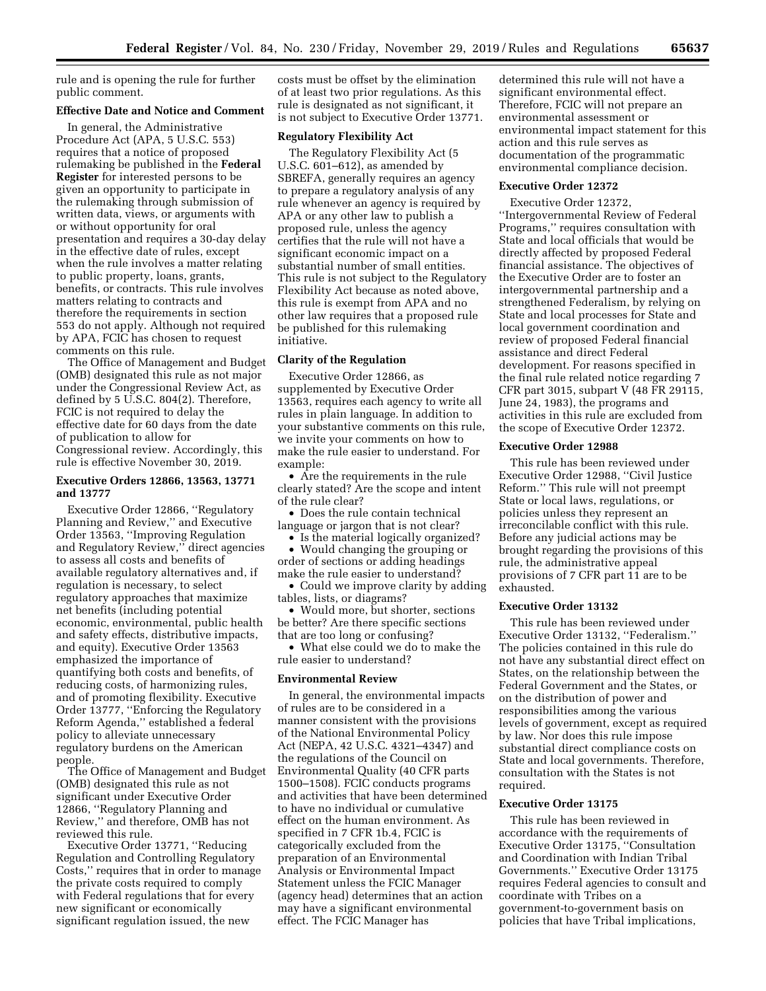rule and is opening the rule for further public comment.

#### **Effective Date and Notice and Comment**

In general, the Administrative Procedure Act (APA, 5 U.S.C. 553) requires that a notice of proposed rulemaking be published in the **Federal Register** for interested persons to be given an opportunity to participate in the rulemaking through submission of written data, views, or arguments with or without opportunity for oral presentation and requires a 30-day delay in the effective date of rules, except when the rule involves a matter relating to public property, loans, grants, benefits, or contracts. This rule involves matters relating to contracts and therefore the requirements in section 553 do not apply. Although not required by APA, FCIC has chosen to request comments on this rule.

The Office of Management and Budget (OMB) designated this rule as not major under the Congressional Review Act, as defined by 5 U.S.C. 804(2). Therefore, FCIC is not required to delay the effective date for 60 days from the date of publication to allow for Congressional review. Accordingly, this rule is effective November 30, 2019.

### **Executive Orders 12866, 13563, 13771 and 13777**

Executive Order 12866, ''Regulatory Planning and Review,'' and Executive Order 13563, ''Improving Regulation and Regulatory Review,'' direct agencies to assess all costs and benefits of available regulatory alternatives and, if regulation is necessary, to select regulatory approaches that maximize net benefits (including potential economic, environmental, public health and safety effects, distributive impacts, and equity). Executive Order 13563 emphasized the importance of quantifying both costs and benefits, of reducing costs, of harmonizing rules, and of promoting flexibility. Executive Order 13777, ''Enforcing the Regulatory Reform Agenda,'' established a federal policy to alleviate unnecessary regulatory burdens on the American people.

The Office of Management and Budget (OMB) designated this rule as not significant under Executive Order 12866, ''Regulatory Planning and Review,'' and therefore, OMB has not reviewed this rule.

Executive Order 13771, ''Reducing Regulation and Controlling Regulatory Costs,'' requires that in order to manage the private costs required to comply with Federal regulations that for every new significant or economically significant regulation issued, the new

costs must be offset by the elimination of at least two prior regulations. As this rule is designated as not significant, it is not subject to Executive Order 13771.

#### **Regulatory Flexibility Act**

The Regulatory Flexibility Act (5 U.S.C. 601–612), as amended by SBREFA, generally requires an agency to prepare a regulatory analysis of any rule whenever an agency is required by APA or any other law to publish a proposed rule, unless the agency certifies that the rule will not have a significant economic impact on a substantial number of small entities. This rule is not subject to the Regulatory Flexibility Act because as noted above, this rule is exempt from APA and no other law requires that a proposed rule be published for this rulemaking initiative.

### **Clarity of the Regulation**

Executive Order 12866, as supplemented by Executive Order 13563, requires each agency to write all rules in plain language. In addition to your substantive comments on this rule, we invite your comments on how to make the rule easier to understand. For example:

• Are the requirements in the rule clearly stated? Are the scope and intent of the rule clear?

• Does the rule contain technical language or jargon that is not clear?

• Is the material logically organized?

• Would changing the grouping or order of sections or adding headings make the rule easier to understand?

• Could we improve clarity by adding tables, lists, or diagrams?

• Would more, but shorter, sections be better? Are there specific sections that are too long or confusing?

• What else could we do to make the rule easier to understand?

#### **Environmental Review**

In general, the environmental impacts of rules are to be considered in a manner consistent with the provisions of the National Environmental Policy Act (NEPA, 42 U.S.C. 4321–4347) and the regulations of the Council on Environmental Quality (40 CFR parts 1500–1508). FCIC conducts programs and activities that have been determined to have no individual or cumulative effect on the human environment. As specified in 7 CFR 1b.4, FCIC is categorically excluded from the preparation of an Environmental Analysis or Environmental Impact Statement unless the FCIC Manager (agency head) determines that an action may have a significant environmental effect. The FCIC Manager has

determined this rule will not have a significant environmental effect. Therefore, FCIC will not prepare an environmental assessment or environmental impact statement for this action and this rule serves as documentation of the programmatic environmental compliance decision.

### **Executive Order 12372**

Executive Order 12372, ''Intergovernmental Review of Federal Programs,'' requires consultation with State and local officials that would be directly affected by proposed Federal financial assistance. The objectives of the Executive Order are to foster an intergovernmental partnership and a strengthened Federalism, by relying on State and local processes for State and local government coordination and review of proposed Federal financial assistance and direct Federal development. For reasons specified in the final rule related notice regarding 7 CFR part 3015, subpart V (48 FR 29115, June 24, 1983), the programs and activities in this rule are excluded from the scope of Executive Order 12372.

## **Executive Order 12988**

This rule has been reviewed under Executive Order 12988, ''Civil Justice Reform.'' This rule will not preempt State or local laws, regulations, or policies unless they represent an irreconcilable conflict with this rule. Before any judicial actions may be brought regarding the provisions of this rule, the administrative appeal provisions of 7 CFR part 11 are to be exhausted.

#### **Executive Order 13132**

This rule has been reviewed under Executive Order 13132, ''Federalism.'' The policies contained in this rule do not have any substantial direct effect on States, on the relationship between the Federal Government and the States, or on the distribution of power and responsibilities among the various levels of government, except as required by law. Nor does this rule impose substantial direct compliance costs on State and local governments. Therefore, consultation with the States is not required.

#### **Executive Order 13175**

This rule has been reviewed in accordance with the requirements of Executive Order 13175, ''Consultation and Coordination with Indian Tribal Governments.'' Executive Order 13175 requires Federal agencies to consult and coordinate with Tribes on a government-to-government basis on policies that have Tribal implications,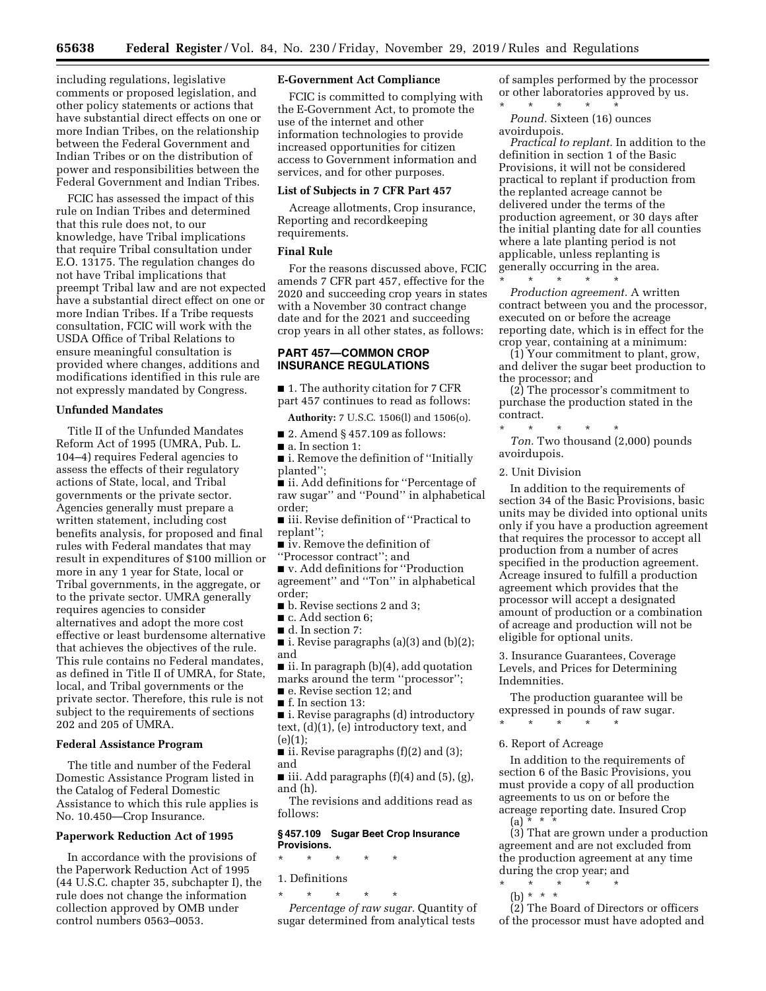including regulations, legislative comments or proposed legislation, and other policy statements or actions that have substantial direct effects on one or more Indian Tribes, on the relationship between the Federal Government and Indian Tribes or on the distribution of power and responsibilities between the Federal Government and Indian Tribes.

FCIC has assessed the impact of this rule on Indian Tribes and determined that this rule does not, to our knowledge, have Tribal implications that require Tribal consultation under E.O. 13175. The regulation changes do not have Tribal implications that preempt Tribal law and are not expected have a substantial direct effect on one or more Indian Tribes. If a Tribe requests consultation, FCIC will work with the USDA Office of Tribal Relations to ensure meaningful consultation is provided where changes, additions and modifications identified in this rule are not expressly mandated by Congress.

#### **Unfunded Mandates**

Title II of the Unfunded Mandates Reform Act of 1995 (UMRA, Pub. L. 104–4) requires Federal agencies to assess the effects of their regulatory actions of State, local, and Tribal governments or the private sector. Agencies generally must prepare a written statement, including cost benefits analysis, for proposed and final rules with Federal mandates that may result in expenditures of \$100 million or more in any 1 year for State, local or Tribal governments, in the aggregate, or to the private sector. UMRA generally requires agencies to consider alternatives and adopt the more cost effective or least burdensome alternative that achieves the objectives of the rule. This rule contains no Federal mandates, as defined in Title II of UMRA, for State, local, and Tribal governments or the private sector. Therefore, this rule is not subject to the requirements of sections 202 and 205 of UMRA.

#### **Federal Assistance Program**

The title and number of the Federal Domestic Assistance Program listed in the Catalog of Federal Domestic Assistance to which this rule applies is No. 10.450—Crop Insurance.

#### **Paperwork Reduction Act of 1995**

In accordance with the provisions of the Paperwork Reduction Act of 1995 (44 U.S.C. chapter 35, subchapter I), the rule does not change the information collection approved by OMB under control numbers 0563–0053.

## **E-Government Act Compliance**

FCIC is committed to complying with the E-Government Act, to promote the use of the internet and other information technologies to provide increased opportunities for citizen access to Government information and services, and for other purposes.

#### **List of Subjects in 7 CFR Part 457**

Acreage allotments, Crop insurance, Reporting and recordkeeping requirements.

## **Final Rule**

For the reasons discussed above, FCIC amends 7 CFR part 457, effective for the 2020 and succeeding crop years in states with a November 30 contract change date and for the 2021 and succeeding crop years in all other states, as follows:

## **PART 457—COMMON CROP INSURANCE REGULATIONS**

■ 1. The authority citation for 7 CFR part 457 continues to read as follows:

**Authority:** 7 U.S.C. 1506(l) and 1506(o).

- $\blacksquare$  2. Amend § 457.109 as follows:
- a. In section 1:

■ i. Remove the definition of "Initially planted'';

■ ii. Add definitions for "Percentage of raw sugar'' and ''Pound'' in alphabetical order;

■ iii. Revise definition of "Practical to replant'';

■ iv. Remove the definition of

''Processor contract''; and

■ v. Add definitions for "Production agreement'' and ''Ton'' in alphabetical order;

■ b. Revise sections 2 and 3;

■ c. Add section 6;

- d. In section 7:
- i. Revise paragraphs (a)(3) and (b)(2); and
- ii. In paragraph (b)(4), add quotation
- marks around the term ''processor'';
- e. Revise section 12; and
- f. In section 13:
- i. Revise paragraphs (d) introductory text, (d)(1), (e) introductory text, and  $(e)(1)$ ;
- $\blacksquare$  ii. Revise paragraphs (f)(2) and (3); and
- iii. Add paragraphs  $(f)(4)$  and  $(5)$ ,  $(g)$ , and (h).

The revisions and additions read as follows:

## **§ 457.109 Sugar Beet Crop Insurance Provisions.**

- \* \* \* \* \*
- 1. Definitions

\* \* \* \* \*

*Percentage of raw sugar.* Quantity of sugar determined from analytical tests

of samples performed by the processor or other laboratories approved by us. \* \* \* \* \*

*Pound.* Sixteen (16) ounces avoirdupois.

*Practical to replant.* In addition to the definition in section 1 of the Basic Provisions, it will not be considered practical to replant if production from the replanted acreage cannot be delivered under the terms of the production agreement, or 30 days after the initial planting date for all counties where a late planting period is not applicable, unless replanting is generally occurring in the area.

\* \* \* \* \* *Production agreement.* A written contract between you and the processor, executed on or before the acreage reporting date, which is in effect for the crop year, containing at a minimum:

(1) Your commitment to plant, grow, and deliver the sugar beet production to the processor; and

(2) The processor's commitment to purchase the production stated in the contract.

\* \* \* \* \* *Ton.* Two thousand (2,000) pounds avoirdupois.

2. Unit Division

In addition to the requirements of section 34 of the Basic Provisions, basic units may be divided into optional units only if you have a production agreement that requires the processor to accept all production from a number of acres specified in the production agreement. Acreage insured to fulfill a production agreement which provides that the processor will accept a designated amount of production or a combination of acreage and production will not be eligible for optional units.

3. Insurance Guarantees, Coverage Levels, and Prices for Determining Indemnities.

The production guarantee will be expressed in pounds of raw sugar. \* \* \* \* \*

#### 6. Report of Acreage

In addition to the requirements of section 6 of the Basic Provisions, you must provide a copy of all production agreements to us on or before the acreage reporting date. Insured Crop  $(a) * *$ 

(3) That are grown under a production agreement and are not excluded from the production agreement at any time during the crop year; and

- \* \* \* \* \*
- (b) \* \* \*

(2) The Board of Directors or officers of the processor must have adopted and